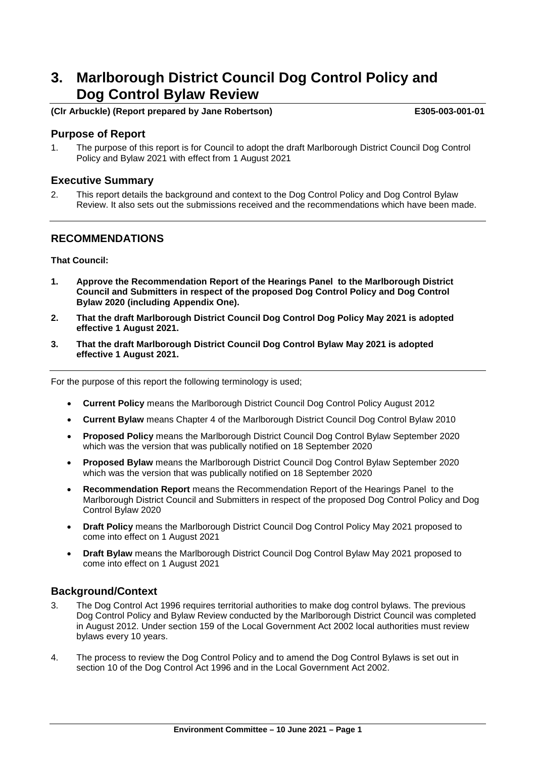# **3. Marlborough District Council Dog Control Policy and Dog Control Bylaw Review**

#### **(Clr Arbuckle) (Report prepared by Jane Robertson) E305-003-001-01**

#### **Purpose of Report**

1. The purpose of this report is for Council to adopt the draft Marlborough District Council Dog Control Policy and Bylaw 2021 with effect from 1 August 2021

#### **Executive Summary**

2. This report details the background and context to the Dog Control Policy and Dog Control Bylaw Review. It also sets out the submissions received and the recommendations which have been made.

#### **RECOMMENDATIONS**

#### **That Council:**

- **1. Approve the Recommendation Report of the Hearings Panel to the Marlborough District Council and Submitters in respect of the proposed Dog Control Policy and Dog Control Bylaw 2020 (including Appendix One).**
- **2. That the draft Marlborough District Council Dog Control Dog Policy May 2021 is adopted effective 1 August 2021.**
- **3. That the draft Marlborough District Council Dog Control Bylaw May 2021 is adopted effective 1 August 2021.**

For the purpose of this report the following terminology is used;

- **Current Policy** means the Marlborough District Council Dog Control Policy August 2012
- **Current Bylaw** means Chapter 4 of the Marlborough District Council Dog Control Bylaw 2010
- **Proposed Policy** means the Marlborough District Council Dog Control Bylaw September 2020 which was the version that was publically notified on 18 September 2020
- **Proposed Bylaw** means the Marlborough District Council Dog Control Bylaw September 2020 which was the version that was publically notified on 18 September 2020
- **Recommendation Report** means the Recommendation Report of the Hearings Panel to the Marlborough District Council and Submitters in respect of the proposed Dog Control Policy and Dog Control Bylaw 2020
- **Draft Policy** means the Marlborough District Council Dog Control Policy May 2021 proposed to come into effect on 1 August 2021
- **Draft Bylaw** means the Marlborough District Council Dog Control Bylaw May 2021 proposed to come into effect on 1 August 2021

#### **Background/Context**

- 3. The Dog Control Act 1996 requires territorial authorities to make dog control bylaws. The previous Dog Control Policy and Bylaw Review conducted by the Marlborough District Council was completed in August 2012. Under section 159 of the Local Government Act 2002 local authorities must review bylaws every 10 years.
- 4. The process to review the Dog Control Policy and to amend the Dog Control Bylaws is set out in section 10 of the Dog Control Act 1996 and in the Local Government Act 2002.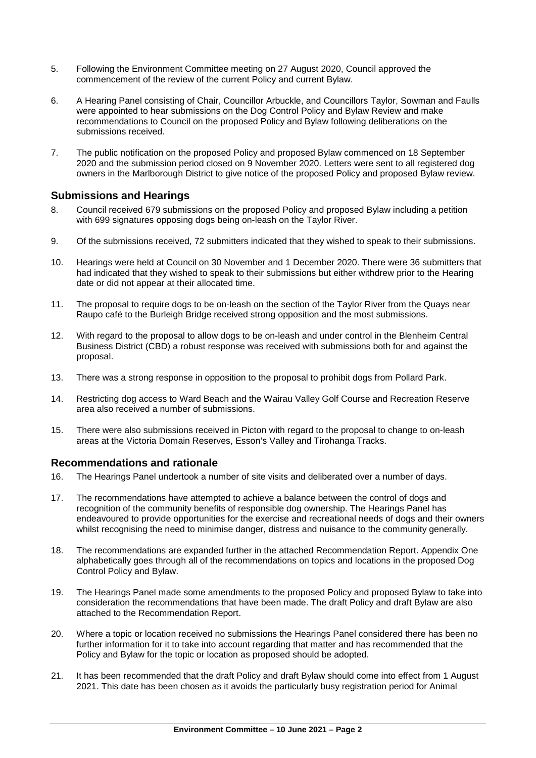- 5. Following the Environment Committee meeting on 27 August 2020, Council approved the commencement of the review of the current Policy and current Bylaw.
- 6. A Hearing Panel consisting of Chair, Councillor Arbuckle, and Councillors Taylor, Sowman and Faulls were appointed to hear submissions on the Dog Control Policy and Bylaw Review and make recommendations to Council on the proposed Policy and Bylaw following deliberations on the submissions received.
- 7. The public notification on the proposed Policy and proposed Bylaw commenced on 18 September 2020 and the submission period closed on 9 November 2020. Letters were sent to all registered dog owners in the Marlborough District to give notice of the proposed Policy and proposed Bylaw review.

### **Submissions and Hearings**

- 8. Council received 679 submissions on the proposed Policy and proposed Bylaw including a petition with 699 signatures opposing dogs being on-leash on the Taylor River.
- 9. Of the submissions received, 72 submitters indicated that they wished to speak to their submissions.
- 10. Hearings were held at Council on 30 November and 1 December 2020. There were 36 submitters that had indicated that they wished to speak to their submissions but either withdrew prior to the Hearing date or did not appear at their allocated time.
- 11. The proposal to require dogs to be on-leash on the section of the Taylor River from the Quays near Raupo café to the Burleigh Bridge received strong opposition and the most submissions.
- 12. With regard to the proposal to allow dogs to be on-leash and under control in the Blenheim Central Business District (CBD) a robust response was received with submissions both for and against the proposal.
- 13. There was a strong response in opposition to the proposal to prohibit dogs from Pollard Park.
- 14. Restricting dog access to Ward Beach and the Wairau Valley Golf Course and Recreation Reserve area also received a number of submissions.
- 15. There were also submissions received in Picton with regard to the proposal to change to on-leash areas at the Victoria Domain Reserves, Esson's Valley and Tirohanga Tracks.

#### **Recommendations and rationale**

- 16. The Hearings Panel undertook a number of site visits and deliberated over a number of days.
- 17. The recommendations have attempted to achieve a balance between the control of dogs and recognition of the community benefits of responsible dog ownership. The Hearings Panel has endeavoured to provide opportunities for the exercise and recreational needs of dogs and their owners whilst recognising the need to minimise danger, distress and nuisance to the community generally.
- 18. The recommendations are expanded further in the attached Recommendation Report. Appendix One alphabetically goes through all of the recommendations on topics and locations in the proposed Dog Control Policy and Bylaw.
- 19. The Hearings Panel made some amendments to the proposed Policy and proposed Bylaw to take into consideration the recommendations that have been made. The draft Policy and draft Bylaw are also attached to the Recommendation Report.
- 20. Where a topic or location received no submissions the Hearings Panel considered there has been no further information for it to take into account regarding that matter and has recommended that the Policy and Bylaw for the topic or location as proposed should be adopted.
- 21. It has been recommended that the draft Policy and draft Bylaw should come into effect from 1 August 2021. This date has been chosen as it avoids the particularly busy registration period for Animal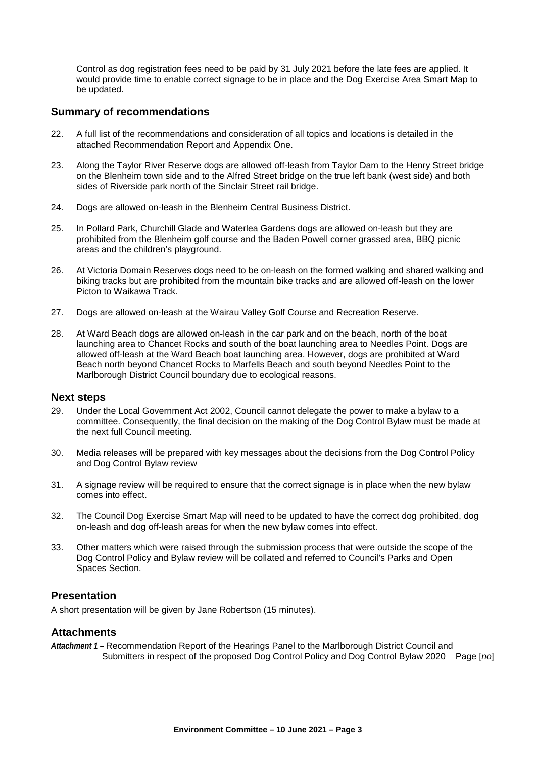Control as dog registration fees need to be paid by 31 July 2021 before the late fees are applied. It would provide time to enable correct signage to be in place and the Dog Exercise Area Smart Map to be updated.

#### **Summary of recommendations**

- 22. A full list of the recommendations and consideration of all topics and locations is detailed in the attached Recommendation Report and Appendix One.
- 23. Along the Taylor River Reserve dogs are allowed off-leash from Taylor Dam to the Henry Street bridge on the Blenheim town side and to the Alfred Street bridge on the true left bank (west side) and both sides of Riverside park north of the Sinclair Street rail bridge.
- 24. Dogs are allowed on-leash in the Blenheim Central Business District.
- 25. In Pollard Park, Churchill Glade and Waterlea Gardens dogs are allowed on-leash but they are prohibited from the Blenheim golf course and the Baden Powell corner grassed area, BBQ picnic areas and the children's playground.
- 26. At Victoria Domain Reserves dogs need to be on-leash on the formed walking and shared walking and biking tracks but are prohibited from the mountain bike tracks and are allowed off-leash on the lower Picton to Waikawa Track.
- 27. Dogs are allowed on-leash at the Wairau Valley Golf Course and Recreation Reserve.
- 28. At Ward Beach dogs are allowed on-leash in the car park and on the beach, north of the boat launching area to Chancet Rocks and south of the boat launching area to Needles Point. Dogs are allowed off-leash at the Ward Beach boat launching area. However, dogs are prohibited at Ward Beach north beyond Chancet Rocks to Marfells Beach and south beyond Needles Point to the Marlborough District Council boundary due to ecological reasons.

#### **Next steps**

- 29. Under the Local Government Act 2002, Council cannot delegate the power to make a bylaw to a committee. Consequently, the final decision on the making of the Dog Control Bylaw must be made at the next full Council meeting.
- 30. Media releases will be prepared with key messages about the decisions from the Dog Control Policy and Dog Control Bylaw review
- 31. A signage review will be required to ensure that the correct signage is in place when the new bylaw comes into effect.
- 32. The Council Dog Exercise Smart Map will need to be updated to have the correct dog prohibited, dog on-leash and dog off-leash areas for when the new bylaw comes into effect.
- 33. Other matters which were raised through the submission process that were outside the scope of the Dog Control Policy and Bylaw review will be collated and referred to Council's Parks and Open Spaces Section.

#### **Presentation**

A short presentation will be given by Jane Robertson (15 minutes).

#### **Attachments**

*Attachment 1 –* Recommendation Report of the Hearings Panel to the Marlborough District Council and Submitters in respect of the proposed Dog Control Policy and Dog Control Bylaw 2020 Page [*no*]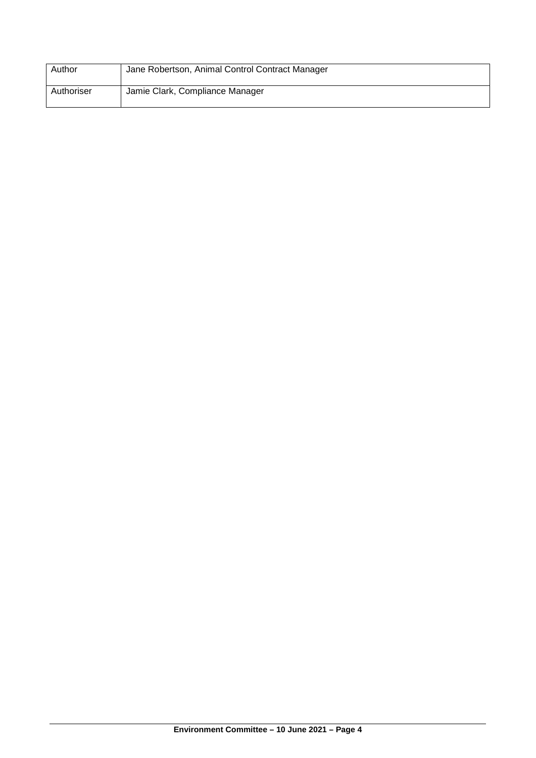| Author     | Jane Robertson, Animal Control Contract Manager |
|------------|-------------------------------------------------|
| Authoriser | Jamie Clark, Compliance Manager                 |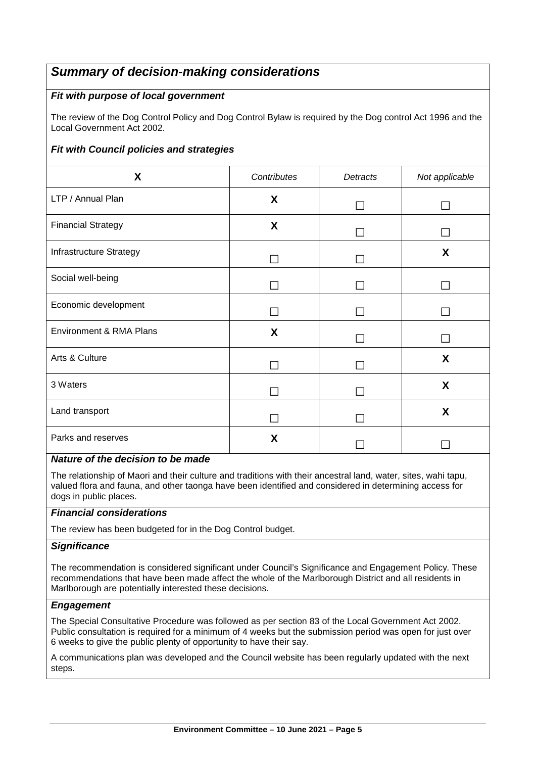## *Summary of decision-making considerations*

### *Fit with purpose of local government*

The review of the Dog Control Policy and Dog Control Bylaw is required by the Dog control Act 1996 and the Local Government Act 2002.

## *Fit with Council policies and strategies*

| X                                  | Contributes | Detracts | Not applicable |
|------------------------------------|-------------|----------|----------------|
| LTP / Annual Plan                  | X           |          |                |
| <b>Financial Strategy</b>          | X           |          |                |
| Infrastructure Strategy            |             |          | X              |
| Social well-being                  |             |          |                |
| Economic development               |             |          |                |
| <b>Environment &amp; RMA Plans</b> | X           |          |                |
| Arts & Culture                     |             |          | X              |
| 3 Waters                           |             |          | X              |
| Land transport                     |             |          | X              |
| Parks and reserves                 | X           |          |                |

#### *Nature of the decision to be made*

The relationship of Maori and their culture and traditions with their ancestral land, water, sites, wahi tapu, valued flora and fauna, and other taonga have been identified and considered in determining access for dogs in public places.

#### *Financial considerations*

The review has been budgeted for in the Dog Control budget.

#### *Significance*

The recommendation is considered significant under Council's Significance and Engagement Policy*.* These recommendations that have been made affect the whole of the Marlborough District and all residents in Marlborough are potentially interested these decisions.

#### *Engagement*

The Special Consultative Procedure was followed as per section 83 of the Local Government Act 2002. Public consultation is required for a minimum of 4 weeks but the submission period was open for just over 6 weeks to give the public plenty of opportunity to have their say.

A communications plan was developed and the Council website has been regularly updated with the next steps.